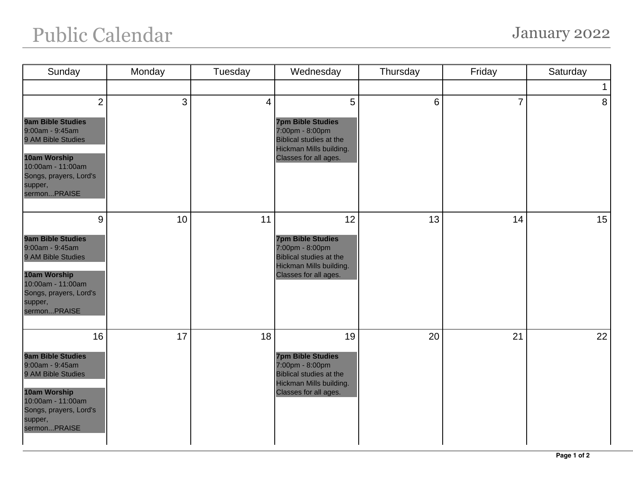## Public Calendar January 2022

| Sunday                                                                                                                                                                               | Monday | Tuesday | Wednesday                                                                                                                               | Thursday | Friday         | Saturday       |
|--------------------------------------------------------------------------------------------------------------------------------------------------------------------------------------|--------|---------|-----------------------------------------------------------------------------------------------------------------------------------------|----------|----------------|----------------|
|                                                                                                                                                                                      |        |         |                                                                                                                                         |          |                | $\mathbf 1$    |
| $\overline{2}$<br><b>9am Bible Studies</b><br>9:00am - 9:45am<br>9 AM Bible Studies<br><b>10am Worship</b><br>10:00am - 11:00am<br>Songs, prayers, Lord's<br>supper,<br>sermonPRAISE | 3      | 4       | 5<br><b>7pm Bible Studies</b><br>7:00pm - 8:00pm<br><b>Biblical studies at the</b><br>Hickman Mills building.<br>Classes for all ages.  | 6        | $\overline{7}$ | 8 <sup>1</sup> |
| 9<br><b>9am Bible Studies</b><br>9:00am - 9:45am<br>9 AM Bible Studies<br>10am Worship<br>10:00am - 11:00am<br>Songs, prayers, Lord's<br>supper,<br>sermonPRAISE                     | 10     | 11      | 12<br><b>7pm Bible Studies</b><br>7:00pm - 8:00pm<br><b>Biblical studies at the</b><br>Hickman Mills building.<br>Classes for all ages. | 13       | 14             | 15             |
| 16<br><b>9am Bible Studies</b><br>9:00am - 9:45am<br>9 AM Bible Studies<br>10am Worship<br>10:00am - 11:00am<br>Songs, prayers, Lord's<br>supper,<br>sermonPRAISE                    | 17     | 18      | 19<br><b>7pm Bible Studies</b><br>7:00pm - 8:00pm<br><b>Biblical studies at the</b><br>Hickman Mills building.<br>Classes for all ages. | 20       | 21             | 22             |